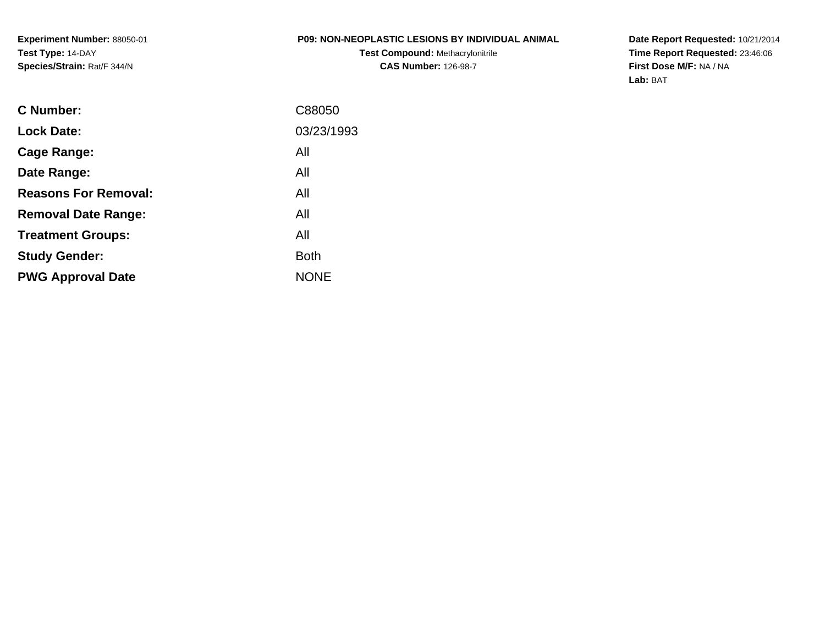# **P09: NON-NEOPLASTIC LESIONS BY INDIVIDUAL ANIMAL**

**Test Compound:** Methacrylonitrile**CAS Number:** 126-98-7

**Date Report Requested:** 10/21/2014 **Time Report Requested:** 23:46:06**First Dose M/F:** NA / NA**Lab:** BAT

| C Number:                   | C88050      |
|-----------------------------|-------------|
| <b>Lock Date:</b>           | 03/23/1993  |
| Cage Range:                 | All         |
| Date Range:                 | All         |
| <b>Reasons For Removal:</b> | All         |
| <b>Removal Date Range:</b>  | All         |
| <b>Treatment Groups:</b>    | All         |
| <b>Study Gender:</b>        | <b>Both</b> |
| <b>PWG Approval Date</b>    | <b>NONE</b> |
|                             |             |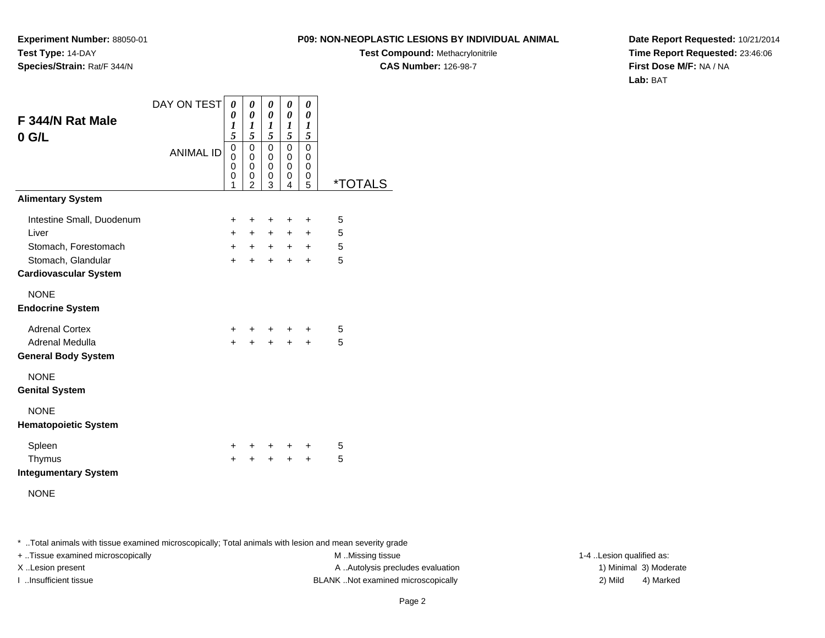**Experiment Number:** 88050-01**Test Type:** 14-DAY**Species/Strain:** Rat/F 344/N

**Test Compound:** Methacrylonitrile**CAS Number:** 126-98-7

**Date Report Requested:** 10/21/2014**Time Report Requested:** 23:46:06**First Dose M/F:** NA / NA**Lab:** BAT

| F 344/N Rat Male                                   | DAY ON TEST      | 0<br>0<br>$\boldsymbol{l}$                         | 0<br>$\boldsymbol{\theta}$<br>1                          | 0<br>0<br>1                                  | 0<br>0<br>1                          | 0<br>0<br>1                              |                       |
|----------------------------------------------------|------------------|----------------------------------------------------|----------------------------------------------------------|----------------------------------------------|--------------------------------------|------------------------------------------|-----------------------|
| $0$ G/L                                            | <b>ANIMAL ID</b> | 5<br>$\overline{0}$<br>$\mathbf{0}$<br>0<br>0<br>1 | 5<br>0<br>$\Omega$<br>$\mathbf 0$<br>0<br>$\overline{2}$ | 5<br>$\pmb{0}$<br>0<br>$\mathbf 0$<br>0<br>3 | 5<br>0<br>0<br>$\mathbf 0$<br>0<br>4 | 5<br>0<br>$\Omega$<br>$\Omega$<br>0<br>5 | <i><b>*TOTALS</b></i> |
| <b>Alimentary System</b>                           |                  |                                                    |                                                          |                                              |                                      |                                          |                       |
| Intestine Small, Duodenum                          |                  | $\ddot{}$                                          | ÷                                                        | ÷                                            | ÷                                    | ÷                                        | 5                     |
| Liver                                              |                  | $+$                                                | $+$                                                      | $+$                                          | $+$                                  | $+$                                      | 5                     |
| Stomach, Forestomach                               |                  | $+$                                                | $+$                                                      | $+$                                          | $+$                                  | $\pm$                                    | 5                     |
| Stomach, Glandular<br><b>Cardiovascular System</b> |                  | $+$                                                | $+$                                                      | $+$                                          | $\ddot{}$                            | $\ddot{}$                                | 5                     |
| <b>NONE</b><br><b>Endocrine System</b>             |                  |                                                    |                                                          |                                              |                                      |                                          |                       |
| <b>Adrenal Cortex</b>                              |                  | $+$                                                |                                                          |                                              | $+$ $+$ $+$                          | $\ddot{}$                                | 5                     |
| Adrenal Medulla                                    |                  | $+$                                                |                                                          | $\ddot{+}$                                   | $+$                                  | $+$                                      | 5                     |
| <b>General Body System</b>                         |                  |                                                    |                                                          |                                              |                                      |                                          |                       |
| <b>NONE</b><br><b>Genital System</b>               |                  |                                                    |                                                          |                                              |                                      |                                          |                       |
| <b>NONE</b><br><b>Hematopoietic System</b>         |                  |                                                    |                                                          |                                              |                                      |                                          |                       |
| Spleen                                             |                  | $+$                                                | $+$ $-$                                                  | $+$                                          | $+$                                  | +                                        | 5                     |
| Thymus                                             |                  | $\ddot{}$                                          | $\ddot{}$                                                | $+$                                          | $\ddot{}$                            | $+$                                      | 5                     |
| <b>Integumentary System</b>                        |                  |                                                    |                                                          |                                              |                                      |                                          |                       |
|                                                    |                  |                                                    |                                                          |                                              |                                      |                                          |                       |

NONE

\* ..Total animals with tissue examined microscopically; Total animals with lesion and mean severity grade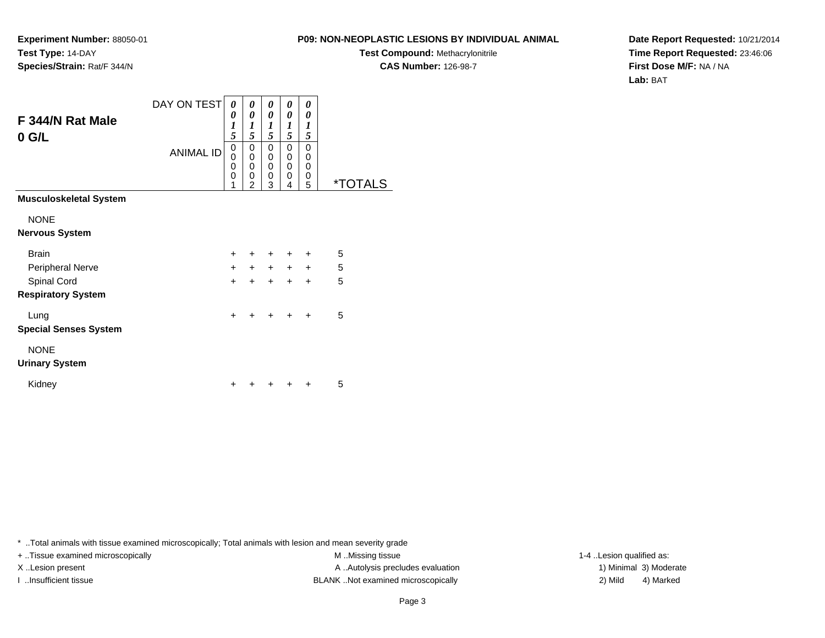**Test Compound:** Methacrylonitrile

**CAS Number:** 126-98-7

**Date Report Requested:** 10/21/2014**Time Report Requested:** 23:46:06**First Dose M/F:** NA / NA**Lab:** BAT

\* ..Total animals with tissue examined microscopically; Total animals with lesion and mean severity grade

X..Lesion present **A ..Autolysis precludes evaluation** A ..Autolysis precludes evaluation 1) Minimal 3) Moderate

I ..Insufficient tissue BLANK ..Not examined microscopically 2) Mild 4) Marked

+ ..Tissue examined microscopically examined microscopically examined as:  $M$  ..Missing tissue 1-4 ..Lesion qualified as:

Kidney $\mathsf y$ 

| 0 G/L                        |                  | 5                                      | 5                                      | 5                                        | 5                                    | 5                |                       |
|------------------------------|------------------|----------------------------------------|----------------------------------------|------------------------------------------|--------------------------------------|------------------|-----------------------|
|                              | <b>ANIMAL ID</b> | $_{\rm 0}^{\rm 0}$<br>0<br>$\mathbf 0$ | $\begin{matrix}0\0\0\end{matrix}$<br>0 | 0<br>$\pmb{0}$<br>$\pmb{0}$<br>$\pmb{0}$ | 0<br>0<br>$\mathbf 0$<br>$\mathbf 0$ | 0<br>0<br>0<br>0 |                       |
|                              |                  | 1                                      | $\overline{2}$                         | 3                                        | 4                                    | 5                | <i><b>*TOTALS</b></i> |
| Musculoskeletal System       |                  |                                        |                                        |                                          |                                      |                  |                       |
| <b>NONE</b>                  |                  |                                        |                                        |                                          |                                      |                  |                       |
| Nervous System               |                  |                                        |                                        |                                          |                                      |                  |                       |
| <b>Brain</b>                 |                  | $\ddot{}$                              | $\ddot{}$                              | $\ddot{}$                                | +                                    | $\ddot{}$        | 5                     |
| Peripheral Nerve             |                  | $\ddot{}$                              | $+$                                    |                                          | $+ + +$                              |                  | 5                     |
| Spinal Cord                  |                  | $\ddot{}$                              | $+$                                    | $\ddot{}$                                | $+$                                  | $+$              | 5                     |
| <b>Respiratory System</b>    |                  |                                        |                                        |                                          |                                      |                  |                       |
| Lung                         |                  | $\ddot{}$                              | $\div$                                 | $\div$                                   |                                      | $\ddot{}$        | 5                     |
| <b>Special Senses System</b> |                  |                                        |                                        |                                          |                                      |                  |                       |
| <b>NONE</b>                  |                  |                                        |                                        |                                          |                                      |                  |                       |
| <b>Urinary System</b>        |                  |                                        |                                        |                                          |                                      |                  |                       |
| Kidney                       |                  | $\ddot{}$                              | $\pm$                                  | +                                        | $\pm$                                | $\ddot{}$        | 5                     |

**Experiment Number:** 88050-01**Test Type:** 14-DAY**Species/Strain:** Rat/F 344/N

**F 344/N Rat Male**

DAY ON TEST *0 0 1*

*0 0 1*

*0 0 1*

*0 0 1*

*0 0 1*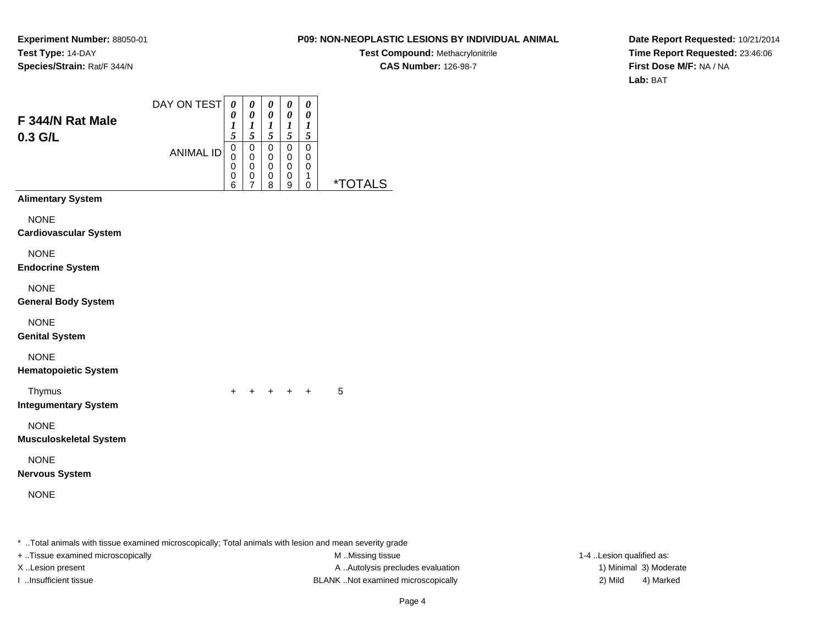# **P09: NON-NEOPLASTIC LESIONS BY INDIVIDUAL ANIMAL**

**Test Compound:** Methacrylonitrile**CAS Number:** 126-98-7

**Date Report Requested:** 10/21/2014**Time Report Requested:** 23:46:06**First Dose M/F:** NA / NA**Lab:** BAT

|                                              | DAY ON TEST      | $\boldsymbol{\theta}$<br>0                               | $\pmb{\theta}$<br>$\boldsymbol{\theta}$                | $\pmb{\theta}$<br>$\pmb{\theta}$        | 0<br>0                          | 0<br>0                           |                       |
|----------------------------------------------|------------------|----------------------------------------------------------|--------------------------------------------------------|-----------------------------------------|---------------------------------|----------------------------------|-----------------------|
| F 344/N Rat Male<br>0.3 G/L                  |                  | $\boldsymbol{l}$<br>$\overline{s}$                       | $\boldsymbol{l}$<br>5                                  | $\boldsymbol{l}$<br>5                   | 1<br>5                          | 1<br>5                           |                       |
|                                              | <b>ANIMAL ID</b> | $\mathbf 0$<br>$\mathbf 0$<br>$\boldsymbol{0}$<br>0<br>6 | $\mathbf 0$<br>$\mathbf 0$<br>0<br>0<br>$\overline{7}$ | $\pmb{0}$<br>$\mathbf 0$<br>0<br>0<br>8 | 0<br>$\mathbf 0$<br>0<br>0<br>9 | 0<br>0<br>0<br>$\mathbf{1}$<br>0 | <i><b>*TOTALS</b></i> |
| <b>Alimentary System</b>                     |                  |                                                          |                                                        |                                         |                                 |                                  |                       |
| <b>NONE</b><br><b>Cardiovascular System</b>  |                  |                                                          |                                                        |                                         |                                 |                                  |                       |
| <b>NONE</b><br><b>Endocrine System</b>       |                  |                                                          |                                                        |                                         |                                 |                                  |                       |
| <b>NONE</b><br><b>General Body System</b>    |                  |                                                          |                                                        |                                         |                                 |                                  |                       |
| <b>NONE</b><br><b>Genital System</b>         |                  |                                                          |                                                        |                                         |                                 |                                  |                       |
| <b>NONE</b><br><b>Hematopoietic System</b>   |                  |                                                          |                                                        |                                         |                                 |                                  |                       |
| Thymus<br><b>Integumentary System</b>        |                  | $\ddot{}$                                                |                                                        |                                         | $+$ $+$ $+$ $+$                 |                                  | 5                     |
| <b>NONE</b><br><b>Musculoskeletal System</b> |                  |                                                          |                                                        |                                         |                                 |                                  |                       |
| <b>NONE</b><br><b>Nervous System</b>         |                  |                                                          |                                                        |                                         |                                 |                                  |                       |
| <b>NONE</b>                                  |                  |                                                          |                                                        |                                         |                                 |                                  |                       |
|                                              |                  |                                                          |                                                        |                                         |                                 |                                  |                       |

\* ..Total animals with tissue examined microscopically; Total animals with lesion and mean severity grade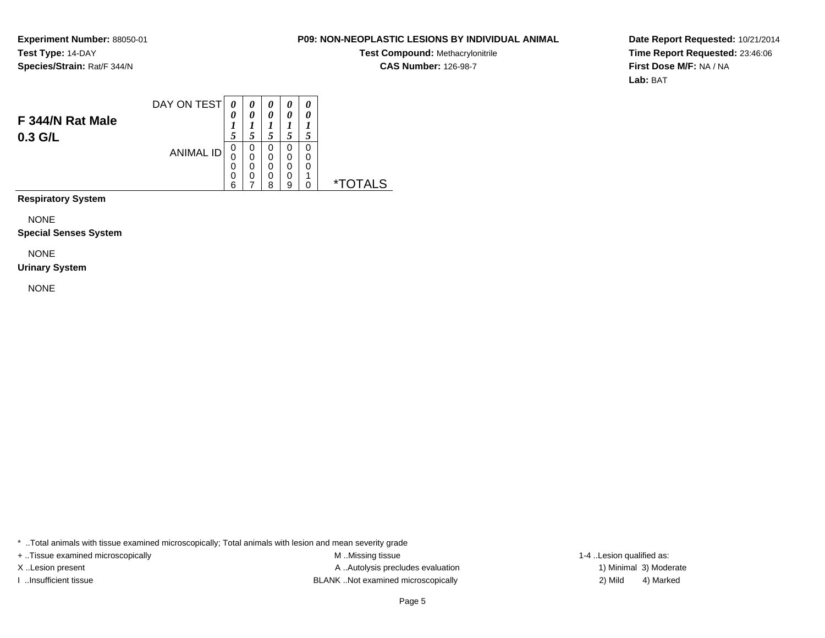# **P09: NON-NEOPLASTIC LESIONS BY INDIVIDUAL ANIMAL**

**Test Compound:** Methacrylonitrile**CAS Number:** 126-98-7

**Date Report Requested:** 10/21/2014**Time Report Requested:** 23:46:06**First Dose M/F:** NA / NA**Lab:** BAT

|                  | DAY ON TEST      | 0 | 0 | 0 | $\boldsymbol{\theta}$ | 0 |  |
|------------------|------------------|---|---|---|-----------------------|---|--|
| F 344/N Rat Male |                  | 0 | 0 | 0 | 0                     | 0 |  |
|                  |                  |   |   |   |                       |   |  |
| $0.3$ G/L        |                  | 5 |   |   |                       |   |  |
|                  |                  | 0 | 0 | 0 | 0                     | 0 |  |
|                  | <b>ANIMAL ID</b> | 0 | 0 | 0 | 0                     | 0 |  |
|                  |                  | 0 | 0 | 0 | 0                     | 0 |  |
|                  |                  | 0 | 0 | 0 | 0                     | л |  |
|                  |                  | 6 |   | 8 | a                     |   |  |
|                  |                  |   |   |   |                       |   |  |

**Respiratory System**

NONE

**Special Senses System**

NONE

#### **Urinary System**

NONE

\* ..Total animals with tissue examined microscopically; Total animals with lesion and mean severity grade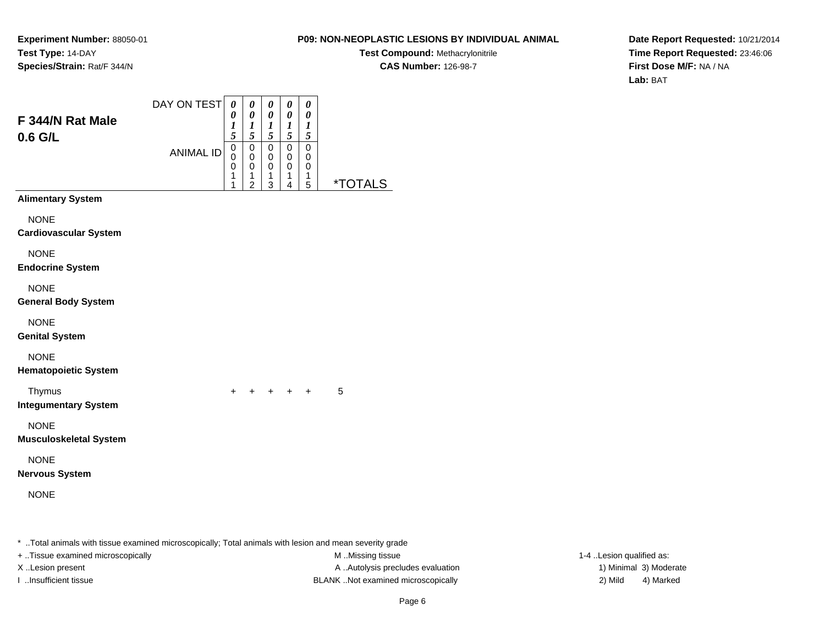# **P09: NON-NEOPLASTIC LESIONS BY INDIVIDUAL ANIMAL**

**Test Compound:** Methacrylonitrile**CAS Number:** 126-98-7

**Date Report Requested:** 10/21/2014**Time Report Requested:** 23:46:06**First Dose M/F:** NA / NA**Lab:** BAT

| F 344/N Rat Male<br>0.6 G/L                  | DAY ON TEST<br><b>ANIMAL ID</b> | $\boldsymbol{\theta}$<br>0<br>$\boldsymbol{l}$<br>5<br>$\overline{0}$<br>0 | 0<br>$\boldsymbol{\theta}$<br>$\boldsymbol{l}$<br>$\sqrt{5}$<br>$\mathsf 0$<br>0 | 0<br>$\boldsymbol{\theta}$<br>$\boldsymbol{l}$<br>$\sqrt{5}$<br>$\mathbf 0$<br>$\mathbf 0$ | 0<br>$\boldsymbol{\theta}$<br>1<br>$5\overline{)}$<br>$\mathbf 0$<br>$\mathbf 0$ | 0<br>$\pmb{\theta}$<br>1<br>$\sqrt{5}$<br>$\mathbf 0$<br>0 |                       |
|----------------------------------------------|---------------------------------|----------------------------------------------------------------------------|----------------------------------------------------------------------------------|--------------------------------------------------------------------------------------------|----------------------------------------------------------------------------------|------------------------------------------------------------|-----------------------|
|                                              |                                 | 0<br>1<br>1                                                                | $\mathbf 0$<br>1<br>$\overline{2}$                                               | $\mathbf 0$<br>1<br>3                                                                      | $\mathbf 0$<br>1<br>4                                                            | 0<br>1<br>5                                                | <i><b>*TOTALS</b></i> |
| <b>Alimentary System</b>                     |                                 |                                                                            |                                                                                  |                                                                                            |                                                                                  |                                                            |                       |
| <b>NONE</b><br><b>Cardiovascular System</b>  |                                 |                                                                            |                                                                                  |                                                                                            |                                                                                  |                                                            |                       |
| <b>NONE</b><br><b>Endocrine System</b>       |                                 |                                                                            |                                                                                  |                                                                                            |                                                                                  |                                                            |                       |
| <b>NONE</b><br><b>General Body System</b>    |                                 |                                                                            |                                                                                  |                                                                                            |                                                                                  |                                                            |                       |
| <b>NONE</b><br><b>Genital System</b>         |                                 |                                                                            |                                                                                  |                                                                                            |                                                                                  |                                                            |                       |
| <b>NONE</b><br><b>Hematopoietic System</b>   |                                 |                                                                            |                                                                                  |                                                                                            |                                                                                  |                                                            |                       |
| Thymus<br><b>Integumentary System</b>        |                                 | $\ddot{}$                                                                  |                                                                                  | + + + +                                                                                    |                                                                                  |                                                            | 5                     |
| <b>NONE</b><br><b>Musculoskeletal System</b> |                                 |                                                                            |                                                                                  |                                                                                            |                                                                                  |                                                            |                       |
| <b>NONE</b><br><b>Nervous System</b>         |                                 |                                                                            |                                                                                  |                                                                                            |                                                                                  |                                                            |                       |
| <b>NONE</b>                                  |                                 |                                                                            |                                                                                  |                                                                                            |                                                                                  |                                                            |                       |

\* ..Total animals with tissue examined microscopically; Total animals with lesion and mean severity grade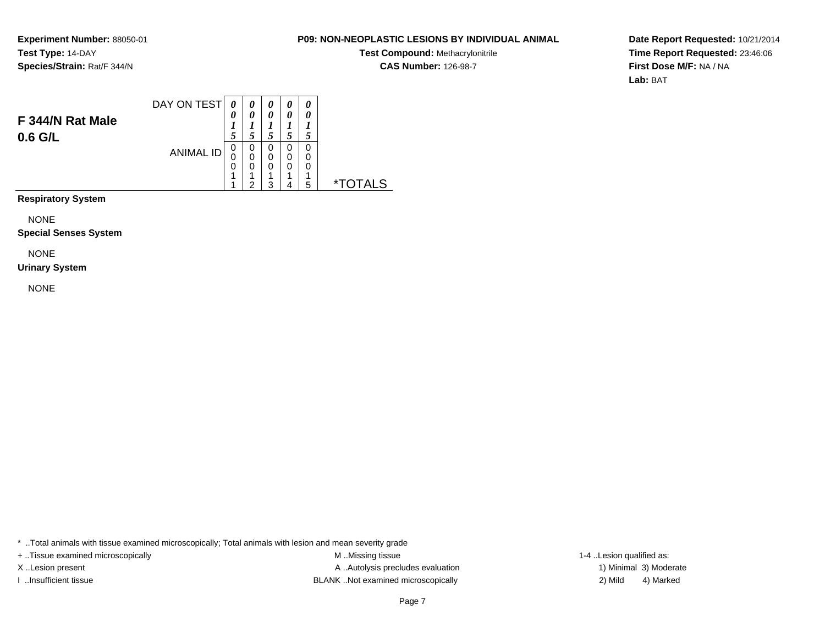# **P09: NON-NEOPLASTIC LESIONS BY INDIVIDUAL ANIMAL**

**Test Compound:** Methacrylonitrile**CAS Number:** 126-98-7

**Date Report Requested:** 10/21/2014**Time Report Requested:** 23:46:06**First Dose M/F:** NA / NA**Lab:** BAT

|                  | DAY ON TEST      | 0 | 0 | 0 | 0 | 0 |   |
|------------------|------------------|---|---|---|---|---|---|
| F 344/N Rat Male |                  | 0 | 0 | 0 | 0 |   |   |
|                  |                  |   |   |   |   |   |   |
| 0.6 G/L          |                  | 5 |   |   |   |   |   |
|                  | <b>ANIMAL ID</b> | 0 | 0 | 0 | 0 | 0 |   |
|                  |                  | 0 | 0 | 0 | 0 | 0 |   |
|                  |                  | 0 | 0 | 0 | 0 | 0 |   |
|                  |                  | 4 |   | л |   |   |   |
|                  |                  |   | ◠ | າ |   | 5 | × |
|                  |                  |   |   |   |   |   |   |

**Respiratory System**

NONE

**Special Senses System**

NONE

#### **Urinary System**

NONE

\* ..Total animals with tissue examined microscopically; Total animals with lesion and mean severity grade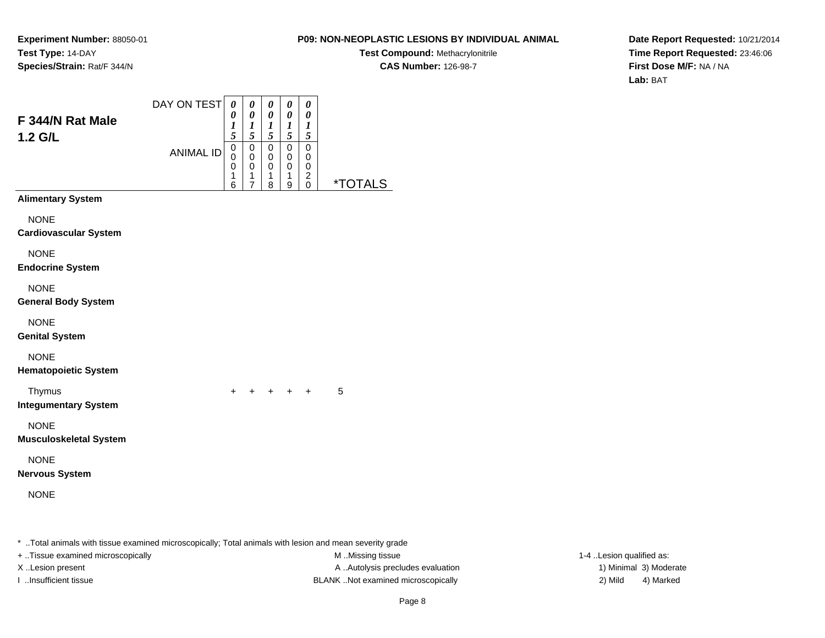# **P09: NON-NEOPLASTIC LESIONS BY INDIVIDUAL ANIMAL**

**Test Compound:** Methacrylonitrile**CAS Number:** 126-98-7

**Date Report Requested:** 10/21/2014**Time Report Requested:** 23:46:06**First Dose M/F:** NA / NA**Lab:** BAT

| F 344/N Rat Male<br>1.2 G/L                  | DAY ON TEST      | $\boldsymbol{\theta}$<br>0<br>1<br>5 | $\pmb{\theta}$<br>$\pmb{\theta}$<br>$\boldsymbol{l}$<br>5  | 0<br>$\boldsymbol{\theta}$<br>$\boldsymbol{l}$<br>5 | 0<br>0<br>$\bm{l}$<br>5       | 0<br>0<br>$\boldsymbol{l}$<br>5            |         |
|----------------------------------------------|------------------|--------------------------------------|------------------------------------------------------------|-----------------------------------------------------|-------------------------------|--------------------------------------------|---------|
|                                              | <b>ANIMAL ID</b> | $\mathbf 0$<br>0<br>0<br>1<br>6      | $\mathsf 0$<br>$\pmb{0}$<br>$\,0\,$<br>1<br>$\overline{7}$ | $\mathbf 0$<br>$\mathbf 0$<br>0<br>1<br>8           | $\pmb{0}$<br>0<br>0<br>1<br>9 | $\pmb{0}$<br>0<br>0<br>$\overline{2}$<br>0 | *TOTALS |
| <b>Alimentary System</b>                     |                  |                                      |                                                            |                                                     |                               |                                            |         |
| <b>NONE</b><br><b>Cardiovascular System</b>  |                  |                                      |                                                            |                                                     |                               |                                            |         |
| <b>NONE</b><br><b>Endocrine System</b>       |                  |                                      |                                                            |                                                     |                               |                                            |         |
| <b>NONE</b><br><b>General Body System</b>    |                  |                                      |                                                            |                                                     |                               |                                            |         |
| <b>NONE</b><br><b>Genital System</b>         |                  |                                      |                                                            |                                                     |                               |                                            |         |
| <b>NONE</b><br><b>Hematopoietic System</b>   |                  |                                      |                                                            |                                                     |                               |                                            |         |
| Thymus<br><b>Integumentary System</b>        |                  | $\ddot{}$                            |                                                            | + + + +                                             |                               |                                            | 5       |
| <b>NONE</b><br><b>Musculoskeletal System</b> |                  |                                      |                                                            |                                                     |                               |                                            |         |
| <b>NONE</b><br><b>Nervous System</b>         |                  |                                      |                                                            |                                                     |                               |                                            |         |
| <b>NONE</b>                                  |                  |                                      |                                                            |                                                     |                               |                                            |         |
|                                              |                  |                                      |                                                            |                                                     |                               |                                            |         |

\* ..Total animals with tissue examined microscopically; Total animals with lesion and mean severity grade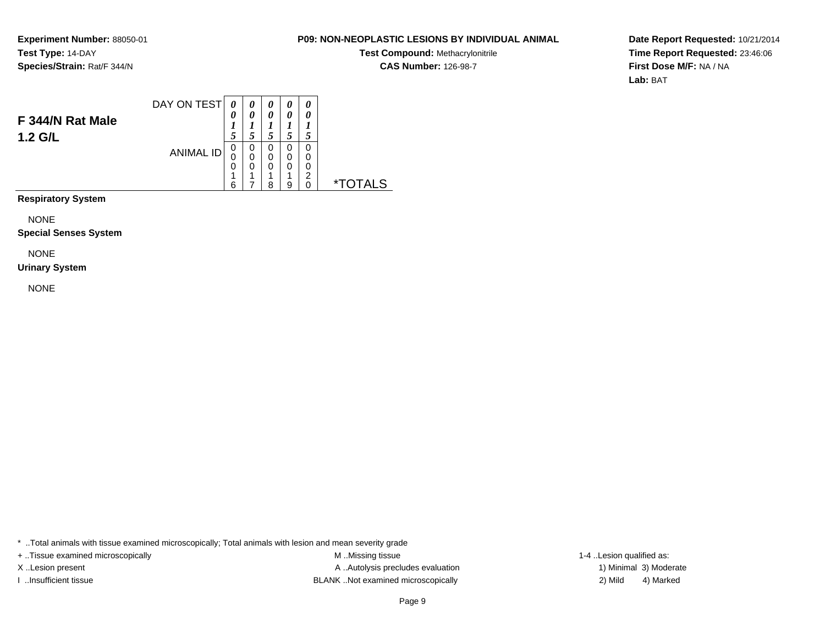# **P09: NON-NEOPLASTIC LESIONS BY INDIVIDUAL ANIMAL**

**Test Compound:** Methacrylonitrile**CAS Number:** 126-98-7

**Date Report Requested:** 10/21/2014**Time Report Requested:** 23:46:06**First Dose M/F:** NA / NA**Lab:** BAT

|                  | DAY ON TEST      | 0 | 0 | 0 | 0 | 0 |   |
|------------------|------------------|---|---|---|---|---|---|
| F 344/N Rat Male |                  | 0 | 0 | 0 | 0 | 0 |   |
|                  |                  | 1 |   |   |   |   |   |
| 1.2 G/L          |                  | 5 | 5 |   |   |   |   |
|                  | <b>ANIMAL ID</b> | 0 | 0 | 0 | 0 | 0 |   |
|                  |                  | 0 | 0 | 0 | 0 | 0 |   |
|                  |                  | 0 | 0 | 0 | 0 | 0 |   |
|                  |                  | ◢ |   | л | л | ົ |   |
|                  |                  | 6 | ⇁ | я | a | 0 | × |
|                  |                  |   |   |   |   |   |   |

**Respiratory System**

NONE

**Special Senses System**

NONE

#### **Urinary System**

NONE

\* ..Total animals with tissue examined microscopically; Total animals with lesion and mean severity grade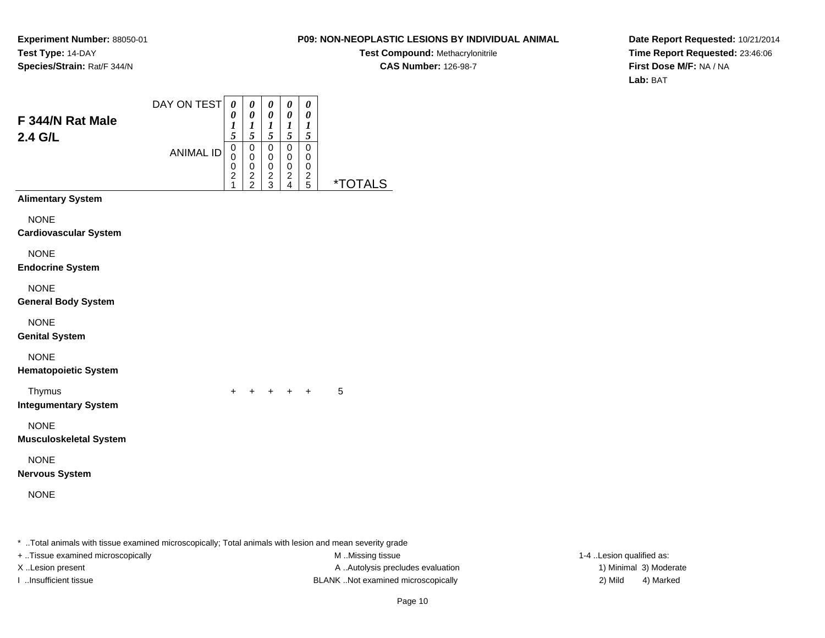# **P09: NON-NEOPLASTIC LESIONS BY INDIVIDUAL ANIMAL**

**Test Compound:** Methacrylonitrile**CAS Number:** 126-98-7

**Date Report Requested:** 10/21/2014**Time Report Requested:** 23:46:06**First Dose M/F:** NA / NA**Lab:** BAT

| F 344/N Rat Male<br>2.4 G/L                  | DAY ON TEST      | $\boldsymbol{\theta}$<br>$\boldsymbol{\theta}$<br>$\boldsymbol{l}$<br>5                   | 0<br>$\boldsymbol{\theta}$<br>$\boldsymbol{l}$<br>$\sqrt{5}$ | 0<br>$\boldsymbol{\theta}$<br>$\boldsymbol{l}$<br>$\sqrt{5}$ | 0<br>$\pmb{\theta}$<br>$\bm{l}$<br>5                              | $\pmb{\theta}$<br>$\pmb{\theta}$<br>1<br>5 |                       |
|----------------------------------------------|------------------|-------------------------------------------------------------------------------------------|--------------------------------------------------------------|--------------------------------------------------------------|-------------------------------------------------------------------|--------------------------------------------|-----------------------|
|                                              | <b>ANIMAL ID</b> | $\overline{0}$<br>$\mathsf 0$<br>$\mathbf 0$<br>$\overline{\mathbf{c}}$<br>$\overline{1}$ | $\mathbf 0$<br>$\pmb{0}$<br>$\pmb{0}$<br>$\frac{2}{2}$       | $\mathbf 0$<br>$\mathbf 0$<br>$\pmb{0}$<br>$\frac{2}{3}$     | $\mathbf 0$<br>0<br>$\pmb{0}$<br>$\overline{c}$<br>$\overline{4}$ | $\mathbf 0$<br>0<br>0<br>$\frac{2}{5}$     | <i><b>*TOTALS</b></i> |
| <b>Alimentary System</b>                     |                  |                                                                                           |                                                              |                                                              |                                                                   |                                            |                       |
| <b>NONE</b><br><b>Cardiovascular System</b>  |                  |                                                                                           |                                                              |                                                              |                                                                   |                                            |                       |
| <b>NONE</b><br><b>Endocrine System</b>       |                  |                                                                                           |                                                              |                                                              |                                                                   |                                            |                       |
| <b>NONE</b><br><b>General Body System</b>    |                  |                                                                                           |                                                              |                                                              |                                                                   |                                            |                       |
| <b>NONE</b><br><b>Genital System</b>         |                  |                                                                                           |                                                              |                                                              |                                                                   |                                            |                       |
| <b>NONE</b><br><b>Hematopoietic System</b>   |                  |                                                                                           |                                                              |                                                              |                                                                   |                                            |                       |
| Thymus<br><b>Integumentary System</b>        |                  | +                                                                                         | $\pm$                                                        | + + +                                                        |                                                                   |                                            | 5                     |
| <b>NONE</b><br><b>Musculoskeletal System</b> |                  |                                                                                           |                                                              |                                                              |                                                                   |                                            |                       |
| <b>NONE</b><br><b>Nervous System</b>         |                  |                                                                                           |                                                              |                                                              |                                                                   |                                            |                       |
| <b>NONE</b>                                  |                  |                                                                                           |                                                              |                                                              |                                                                   |                                            |                       |
|                                              |                  |                                                                                           |                                                              |                                                              |                                                                   |                                            |                       |

\* ..Total animals with tissue examined microscopically; Total animals with lesion and mean severity grade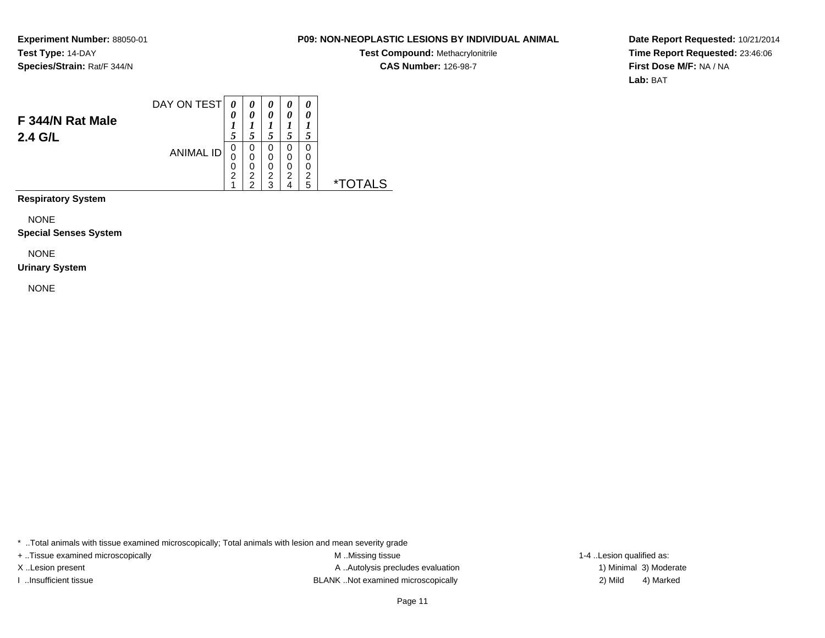# **P09: NON-NEOPLASTIC LESIONS BY INDIVIDUAL ANIMAL**

**Test Compound:** Methacrylonitrile**CAS Number:** 126-98-7

**Date Report Requested:** 10/21/2014**Time Report Requested:** 23:46:06**First Dose M/F:** NA / NA**Lab:** BAT

|                  | DAY ON TEST      | 0              | 0 | 0 | 0 | 0 |  |
|------------------|------------------|----------------|---|---|---|---|--|
|                  |                  | 0              | 0 | 0 | 0 | 0 |  |
| F 344/N Rat Male |                  |                |   |   |   |   |  |
| 2.4 G/L          |                  | 5              |   |   |   |   |  |
|                  | <b>ANIMAL ID</b> | 0              | 0 | 0 | 0 | 0 |  |
|                  |                  | 0              | 0 | 0 | 0 | 0 |  |
|                  |                  | 0              | 0 | 0 | 0 | 0 |  |
|                  |                  | $\overline{2}$ | 2 | 2 | 2 | າ |  |
|                  |                  |                | C | າ |   | 5 |  |
|                  |                  |                |   |   |   |   |  |

**Respiratory System**

NONE

**Special Senses System**

NONE

#### **Urinary System**

NONE

\* ..Total animals with tissue examined microscopically; Total animals with lesion and mean severity grade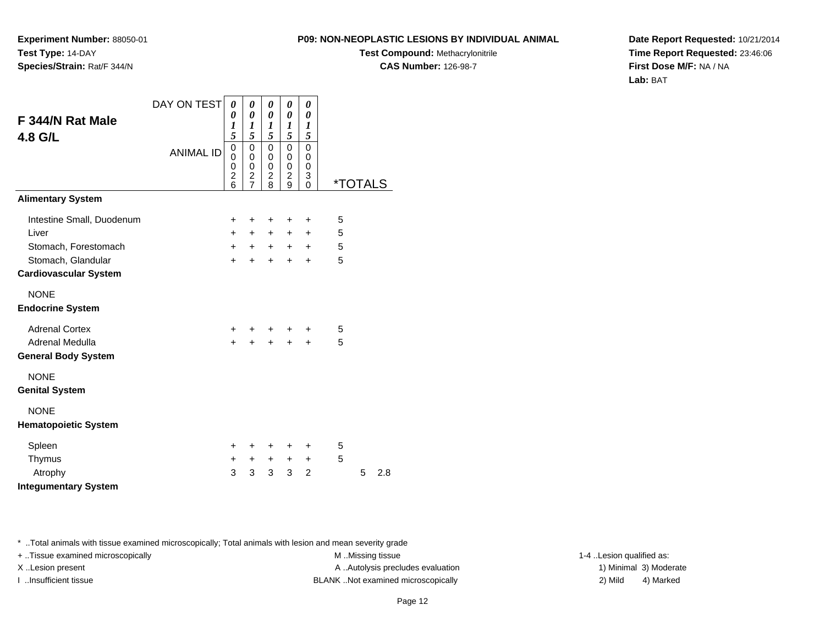**Experiment Number:** 88050-01**Test Type:** 14-DAY**Species/Strain:** Rat/F 344/N

**Test Compound:** Methacrylonitrile**CAS Number:** 126-98-7

**Date Report Requested:** 10/21/2014**Time Report Requested:** 23:46:06**First Dose M/F:** NA / NA**Lab:** BAT

| F 344/N Rat Male<br>4.8 G/L                          | DAY ON TEST<br><b>ANIMAL ID</b> | $\boldsymbol{\theta}$<br>0<br>1<br>5<br>$\mathbf 0$<br>0<br>$\mathbf 0$<br>$\overline{2}$<br>6 | 0<br>0<br>1<br>5<br>$\mathbf 0$<br>0<br>0<br>$\frac{2}{7}$ | 0<br>0<br>$\boldsymbol{l}$<br>5<br>$\mathbf 0$<br>0<br>$\pmb{0}$<br>$\overline{c}$<br>8 | 0<br>0<br>1<br>5<br>0<br>0<br>0<br>$\overline{c}$<br>9 | 0<br>0<br>1<br>5<br>$\mathbf 0$<br>0<br>0<br>3<br>$\mathbf{0}$ | <i><b>*TOTALS</b></i> |   |     |
|------------------------------------------------------|---------------------------------|------------------------------------------------------------------------------------------------|------------------------------------------------------------|-----------------------------------------------------------------------------------------|--------------------------------------------------------|----------------------------------------------------------------|-----------------------|---|-----|
| <b>Alimentary System</b>                             |                                 |                                                                                                |                                                            |                                                                                         |                                                        |                                                                |                       |   |     |
| Intestine Small, Duodenum                            |                                 | $\ddot{}$                                                                                      | +                                                          | +                                                                                       | +                                                      | $\ddot{}$                                                      | 5                     |   |     |
| Liver                                                |                                 | $+$                                                                                            | $+$                                                        | $+$                                                                                     | $+$                                                    | $\ddot{}$                                                      | 5                     |   |     |
| Stomach, Forestomach                                 |                                 | $+$                                                                                            | $+$                                                        | $+$                                                                                     | $+$                                                    | $+$                                                            | 5                     |   |     |
| Stomach, Glandular<br><b>Cardiovascular System</b>   |                                 | $+$                                                                                            | $+$                                                        | $\ddot{}$                                                                               | $+$                                                    | $\ddot{}$                                                      | 5                     |   |     |
| <b>NONE</b><br><b>Endocrine System</b>               |                                 |                                                                                                |                                                            |                                                                                         |                                                        |                                                                |                       |   |     |
| <b>Adrenal Cortex</b>                                |                                 | $+$                                                                                            |                                                            | $\ddot{}$                                                                               | $\ddot{}$                                              | +                                                              | 5                     |   |     |
| <b>Adrenal Medulla</b><br><b>General Body System</b> |                                 | $+$                                                                                            | $+$                                                        | $+$                                                                                     | $+$                                                    | $+$                                                            | 5                     |   |     |
| <b>NONE</b><br><b>Genital System</b>                 |                                 |                                                                                                |                                                            |                                                                                         |                                                        |                                                                |                       |   |     |
| <b>NONE</b><br><b>Hematopoietic System</b>           |                                 |                                                                                                |                                                            |                                                                                         |                                                        |                                                                |                       |   |     |
| Spleen                                               |                                 | $\ddot{}$                                                                                      | ÷                                                          | ÷                                                                                       | +                                                      | ÷                                                              | 5                     |   |     |
| Thymus                                               |                                 | $\ddot{}$                                                                                      | $+$                                                        | $+$                                                                                     | $\ddot{}$                                              | $+$                                                            | 5                     |   |     |
| Atrophy                                              |                                 | 3                                                                                              | 3                                                          | 3                                                                                       | 3                                                      | $\overline{2}$                                                 |                       | 5 | 2.8 |
| <b>Integumentary System</b>                          |                                 |                                                                                                |                                                            |                                                                                         |                                                        |                                                                |                       |   |     |

\* ..Total animals with tissue examined microscopically; Total animals with lesion and mean severity grade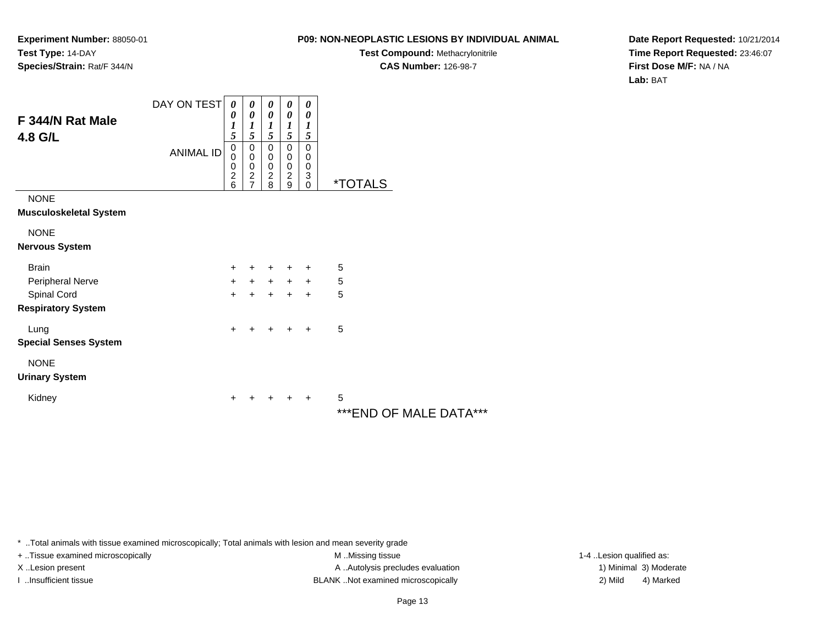# **P09: NON-NEOPLASTIC LESIONS BY INDIVIDUAL ANIMAL**

**Test Compound:** Methacrylonitrile**CAS Number:** 126-98-7

**Date Report Requested:** 10/21/2014**Time Report Requested:** 23:46:07**First Dose M/F:** NA / NA**Lab:** BAT

| F 344/N Rat Male<br>4.8 G/L   | DAY ON TEST<br><b>ANIMAL ID</b> | 0<br>0<br>$\boldsymbol{l}$<br>5<br>$\pmb{0}$<br>$\bar{0}$<br>$\frac{0}{2}$<br>6 | 0<br>0<br>$\boldsymbol{l}$<br>5<br>$\mathsf 0$<br>$\mathsf 0$<br>$\pmb{0}$<br>$\overline{2}$<br>$\overline{7}$ | 0<br>0<br>1<br>5<br>$\pmb{0}$<br>0<br>$\begin{smallmatrix} 0\\2 \end{smallmatrix}$<br>8 | 0<br>0<br>$\boldsymbol{l}$<br>5<br>$\mathbf 0$<br>0<br>0<br>$\overline{2}$<br>9 | 0<br>0<br>1<br>5<br>0<br>$\mathbf 0$<br>$\mathbf 0$<br>3<br>$\overline{0}$ | <i><b>*TOTALS</b></i> |
|-------------------------------|---------------------------------|---------------------------------------------------------------------------------|----------------------------------------------------------------------------------------------------------------|-----------------------------------------------------------------------------------------|---------------------------------------------------------------------------------|----------------------------------------------------------------------------|-----------------------|
| <b>NONE</b>                   |                                 |                                                                                 |                                                                                                                |                                                                                         |                                                                                 |                                                                            |                       |
| <b>Musculoskeletal System</b> |                                 |                                                                                 |                                                                                                                |                                                                                         |                                                                                 |                                                                            |                       |
| <b>NONE</b>                   |                                 |                                                                                 |                                                                                                                |                                                                                         |                                                                                 |                                                                            |                       |
| <b>Nervous System</b>         |                                 |                                                                                 |                                                                                                                |                                                                                         |                                                                                 |                                                                            |                       |
| <b>Brain</b>                  |                                 | $\ddot{}$                                                                       | $\ddot{}$                                                                                                      | +                                                                                       | $\ddot{}$                                                                       | $\ddot{}$                                                                  | 5                     |
| Peripheral Nerve              |                                 | $\ddot{}$                                                                       | $+$                                                                                                            | $+$                                                                                     | $+$                                                                             | $+$                                                                        | 5                     |
| Spinal Cord                   |                                 | $+$                                                                             | $+$                                                                                                            | $+$                                                                                     | $+$                                                                             | $\ddot{}$                                                                  | 5                     |
| <b>Respiratory System</b>     |                                 |                                                                                 |                                                                                                                |                                                                                         |                                                                                 |                                                                            |                       |
| Lung                          |                                 | $\ddot{}$                                                                       | +                                                                                                              | +                                                                                       | ÷                                                                               | $\ddot{}$                                                                  | 5                     |
| <b>Special Senses System</b>  |                                 |                                                                                 |                                                                                                                |                                                                                         |                                                                                 |                                                                            |                       |
| <b>NONE</b>                   |                                 |                                                                                 |                                                                                                                |                                                                                         |                                                                                 |                                                                            |                       |
| <b>Urinary System</b>         |                                 |                                                                                 |                                                                                                                |                                                                                         |                                                                                 |                                                                            |                       |
| Kidney                        |                                 | +                                                                               |                                                                                                                |                                                                                         | ٠                                                                               | $\ddot{}$                                                                  | 5                     |
|                               |                                 |                                                                                 |                                                                                                                |                                                                                         |                                                                                 |                                                                            | ***END OF MA          |

\*\*\*END OF MALE DATA\*\*\*

\* ..Total animals with tissue examined microscopically; Total animals with lesion and mean severity grade

+ ..Tissue examined microscopically M ...Missing tissue 1-4 ...

X..Lesion present **A ..Autolysis precludes evaluation** A ..Autolysis precludes evaluation 1) Minimal 3) Moderate I ..Insufficient tissue BLANK ..Not examined microscopically 2) Mild 4) Marked

1-4 ..Lesion qualified as: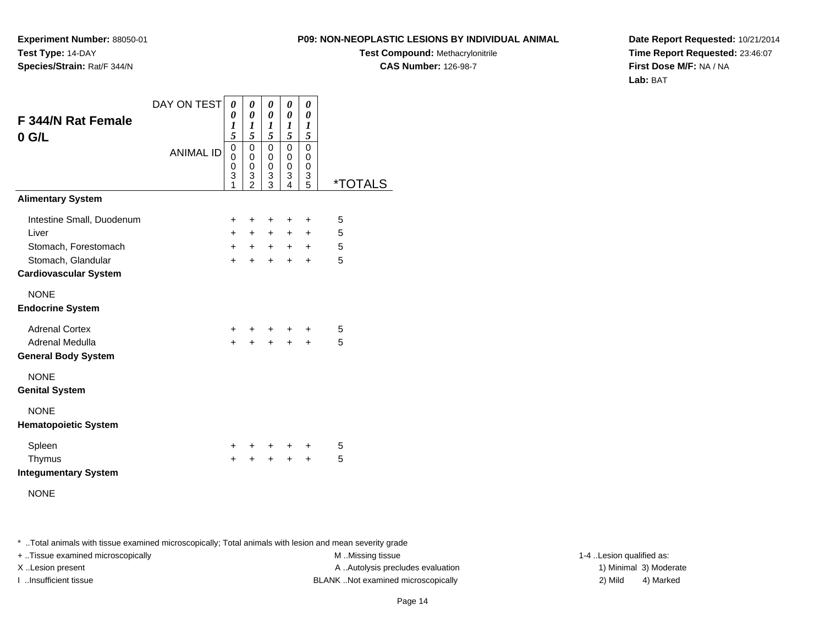**Experiment Number:** 88050-01**Test Type:** 14-DAY**Species/Strain:** Rat/F 344/N

**Test Compound:** Methacrylonitrile**CAS Number:** 126-98-7

**Date Report Requested:** 10/21/2014**Time Report Requested:** 23:46:07**First Dose M/F:** NA / NA**Lab:** BAT

| F 344/N Rat Female<br>$0$ G/L                      | DAY ON TEST<br><b>ANIMAL ID</b> | 0<br>0<br>1<br>5<br>0      | 0<br>$\pmb{\theta}$<br>1<br>5<br>$\mathsf 0$ | 0<br>$\boldsymbol{\theta}$<br>$\boldsymbol{l}$<br>5<br>0 | 0<br>$\boldsymbol{\theta}$<br>$\boldsymbol{l}$<br>5<br>$\mathbf 0$ | 0<br>0<br>1<br>5<br>$\mathbf 0$ |                       |
|----------------------------------------------------|---------------------------------|----------------------------|----------------------------------------------|----------------------------------------------------------|--------------------------------------------------------------------|---------------------------------|-----------------------|
|                                                    |                                 | 0<br>$\mathsf 0$<br>3<br>1 | $\mathbf 0$<br>0<br>3<br>$\mathcal{P}$       | $\mathbf 0$<br>0<br>3<br>3                               | 0<br>$\mathbf 0$<br>3<br>$\overline{\mathbf{4}}$                   | 0<br>0<br>3<br>5                | <i><b>*TOTALS</b></i> |
| <b>Alimentary System</b>                           |                                 |                            |                                              |                                                          |                                                                    |                                 |                       |
| Intestine Small, Duodenum                          |                                 | +                          | +                                            | +                                                        | +                                                                  | ÷                               | 5                     |
| Liver                                              |                                 | $\ddot{}$                  | $\ddot{}$                                    | $+$                                                      | $+$                                                                | $\ddot{}$                       | 5                     |
| Stomach, Forestomach                               |                                 | $+$                        | $+$                                          | $+$                                                      |                                                                    | $+$ $+$                         | 5                     |
| Stomach, Glandular<br><b>Cardiovascular System</b> |                                 | $+$                        | $\ddot{}$                                    | $+$                                                      | $\ddot{}$                                                          | $\ddot{}$                       | 5                     |
| <b>NONE</b><br><b>Endocrine System</b>             |                                 |                            |                                              |                                                          |                                                                    |                                 |                       |
| <b>Adrenal Cortex</b>                              |                                 | $^+$                       |                                              | +                                                        |                                                                    | $\ddot{}$                       | 5                     |
| Adrenal Medulla<br><b>General Body System</b>      |                                 | $+$                        | $\ddot{+}$                                   | $+$                                                      | $+$                                                                | $\ddot{}$                       | 5                     |
| <b>NONE</b><br><b>Genital System</b>               |                                 |                            |                                              |                                                          |                                                                    |                                 |                       |
| <b>NONE</b><br><b>Hematopoietic System</b>         |                                 |                            |                                              |                                                          |                                                                    |                                 |                       |
| Spleen                                             |                                 | +                          | ٠                                            | ٠                                                        | +                                                                  | ٠                               | 5                     |
| Thymus<br><b>Integumentary System</b>              |                                 | $\ddot{}$                  |                                              | $\ddot{}$                                                | $\ddot{}$                                                          | $\ddot{}$                       | 5                     |
| <b>NONE</b>                                        |                                 |                            |                                              |                                                          |                                                                    |                                 |                       |

\* ..Total animals with tissue examined microscopically; Total animals with lesion and mean severity grade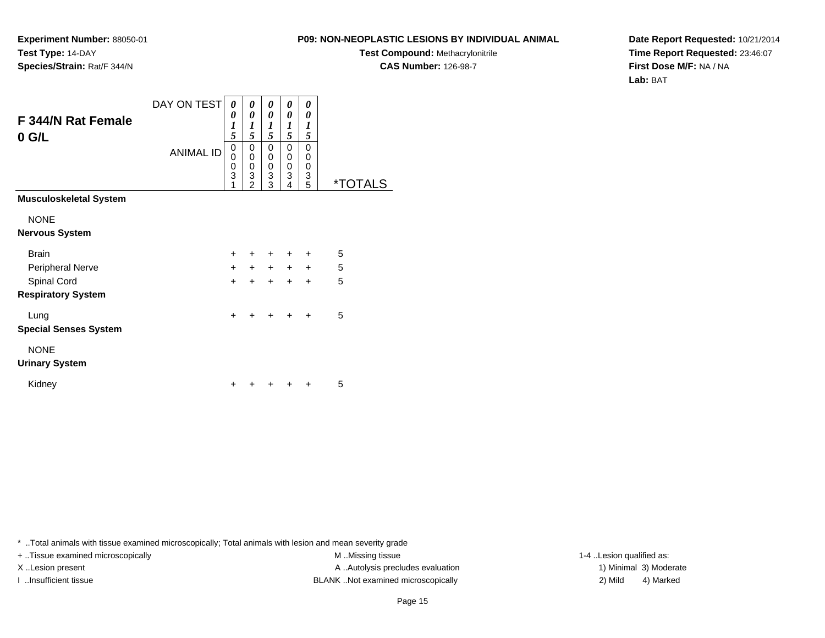**Experiment Number:** 88050-01**Test Type:** 14-DAY**Species/Strain:** Rat/F 344/N

**Test Compound:** Methacrylonitrile**CAS Number:** 126-98-7

**Date Report Requested:** 10/21/2014**Time Report Requested:** 23:46:07**First Dose M/F:** NA / NA**Lab:** BAT

| F 344/N Rat Female<br>$0$ G/L | DAY ON TEST<br><b>ANIMAL ID</b> | 0<br>0<br>1<br>5<br>0<br>0<br>0<br>3<br>1 | 0<br>0<br>1<br>5<br>0<br>0<br>0<br>3<br>$\mathfrak{p}$ | 0<br>0<br>$\boldsymbol{l}$<br>5<br>$\mathbf 0$<br>0<br>0<br>3<br>3 | 0<br>$\boldsymbol{\theta}$<br>$\boldsymbol{l}$<br>5<br>$\mathbf 0$<br>$\mathbf 0$<br>$\mathbf 0$<br>3<br>4 | 0<br>0<br>1<br>5<br>0<br>0<br>0<br>3<br>5 | <i><b>*TOTALS</b></i> |
|-------------------------------|---------------------------------|-------------------------------------------|--------------------------------------------------------|--------------------------------------------------------------------|------------------------------------------------------------------------------------------------------------|-------------------------------------------|-----------------------|
| <b>Musculoskeletal System</b> |                                 |                                           |                                                        |                                                                    |                                                                                                            |                                           |                       |
| <b>NONE</b>                   |                                 |                                           |                                                        |                                                                    |                                                                                                            |                                           |                       |
| <b>Nervous System</b>         |                                 |                                           |                                                        |                                                                    |                                                                                                            |                                           |                       |
| <b>Brain</b>                  |                                 | $+$                                       | $\pm$                                                  | $\ddot{}$                                                          | $\ddot{}$                                                                                                  | $\ddot{}$                                 | 5                     |
| Peripheral Nerve              |                                 | $+$                                       | $+$                                                    |                                                                    | $+$ $+$ $+$                                                                                                |                                           | 5                     |
| Spinal Cord                   |                                 | $\ddot{}$                                 | $\ddot{}$                                              | $\ddot{}$                                                          | $\ddot{}$                                                                                                  | $\ddot{}$                                 | 5                     |
| <b>Respiratory System</b>     |                                 |                                           |                                                        |                                                                    |                                                                                                            |                                           |                       |
| Lung                          |                                 | $\ddot{}$                                 | ÷                                                      | $\ddot{}$                                                          | $\ddot{}$                                                                                                  | $\ddot{}$                                 | 5                     |
| <b>Special Senses System</b>  |                                 |                                           |                                                        |                                                                    |                                                                                                            |                                           |                       |
| <b>NONE</b>                   |                                 |                                           |                                                        |                                                                    |                                                                                                            |                                           |                       |
| <b>Urinary System</b>         |                                 |                                           |                                                        |                                                                    |                                                                                                            |                                           |                       |
| Kidney                        |                                 |                                           |                                                        |                                                                    |                                                                                                            |                                           | 5                     |

\* ..Total animals with tissue examined microscopically; Total animals with lesion and mean severity grade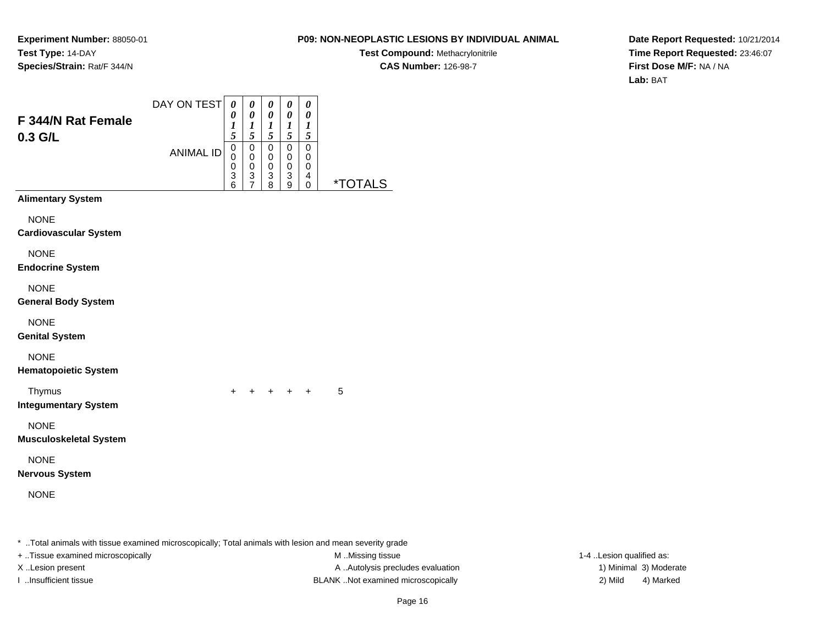# **P09: NON-NEOPLASTIC LESIONS BY INDIVIDUAL ANIMAL**

**Test Compound:** Methacrylonitrile**CAS Number:** 126-98-7

**Date Report Requested:** 10/21/2014**Time Report Requested:** 23:46:07**First Dose M/F:** NA / NA**Lab:** BAT

| F 344/N Rat Female<br>0.3 G/L                | DAY ON TEST      | $\boldsymbol{\theta}$<br>0<br>$\boldsymbol{l}$<br>5              | 0<br>$\boldsymbol{\theta}$<br>$\boldsymbol{l}$ | 0<br>$\boldsymbol{\theta}$<br>$\boldsymbol{l}$         | $\boldsymbol{\theta}$<br>$\boldsymbol{\theta}$<br>$\boldsymbol{l}$<br>5     | 0<br>$\boldsymbol{\theta}$<br>1                       |                       |
|----------------------------------------------|------------------|------------------------------------------------------------------|------------------------------------------------|--------------------------------------------------------|-----------------------------------------------------------------------------|-------------------------------------------------------|-----------------------|
|                                              | <b>ANIMAL ID</b> | $\mathbf 0$<br>$\mathbf 0$<br>$\mathbf 0$<br>3<br>$\overline{6}$ | 5<br>0<br>0<br>$\mathbf 0$<br>$\frac{3}{7}$    | 5<br>$\mathbf 0$<br>$\mathbf 0$<br>$\pmb{0}$<br>3<br>8 | $\mathbf 0$<br>$\mathbf 0$<br>$\mathbf 0$<br>$\ensuremath{\mathsf{3}}$<br>9 | 5<br>$\Omega$<br>0<br>$\mathbf 0$<br>4<br>$\mathbf 0$ | <i><b>*TOTALS</b></i> |
| <b>Alimentary System</b>                     |                  |                                                                  |                                                |                                                        |                                                                             |                                                       |                       |
| <b>NONE</b><br><b>Cardiovascular System</b>  |                  |                                                                  |                                                |                                                        |                                                                             |                                                       |                       |
| <b>NONE</b><br><b>Endocrine System</b>       |                  |                                                                  |                                                |                                                        |                                                                             |                                                       |                       |
| <b>NONE</b><br><b>General Body System</b>    |                  |                                                                  |                                                |                                                        |                                                                             |                                                       |                       |
| <b>NONE</b><br><b>Genital System</b>         |                  |                                                                  |                                                |                                                        |                                                                             |                                                       |                       |
| <b>NONE</b><br><b>Hematopoietic System</b>   |                  |                                                                  |                                                |                                                        |                                                                             |                                                       |                       |
| Thymus<br><b>Integumentary System</b>        |                  | $\ddot{}$                                                        |                                                | + + + +                                                |                                                                             |                                                       | 5                     |
| <b>NONE</b><br><b>Musculoskeletal System</b> |                  |                                                                  |                                                |                                                        |                                                                             |                                                       |                       |
| <b>NONE</b><br><b>Nervous System</b>         |                  |                                                                  |                                                |                                                        |                                                                             |                                                       |                       |
| <b>NONE</b>                                  |                  |                                                                  |                                                |                                                        |                                                                             |                                                       |                       |
|                                              |                  |                                                                  |                                                |                                                        |                                                                             |                                                       |                       |

\* ..Total animals with tissue examined microscopically; Total animals with lesion and mean severity grade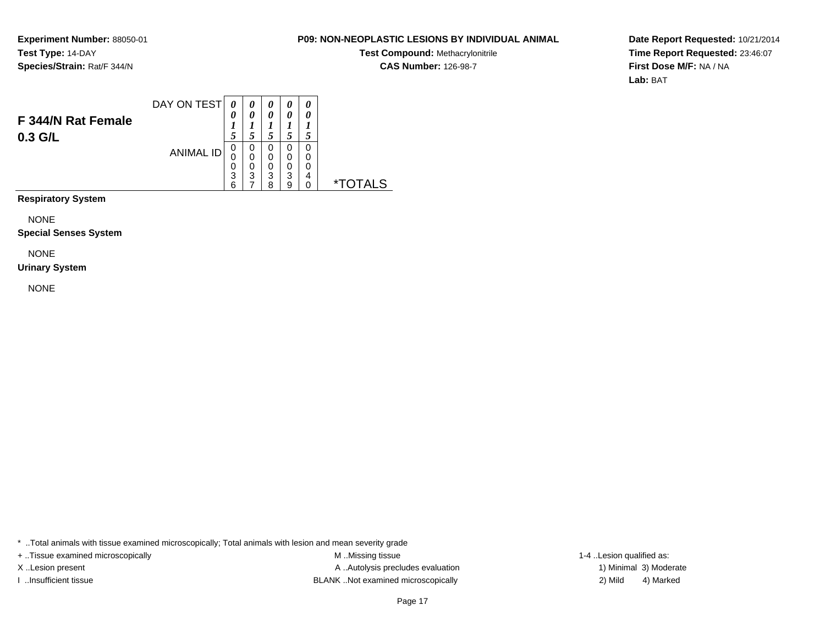# **P09: NON-NEOPLASTIC LESIONS BY INDIVIDUAL ANIMAL**

**Test Compound:** Methacrylonitrile**CAS Number:** 126-98-7

**Date Report Requested:** 10/21/2014**Time Report Requested:** 23:46:07**First Dose M/F:** NA / NA**Lab:** BAT

|                    | DAY ON TEST      | 0  |   | 0 | 0 | 0 |       |
|--------------------|------------------|----|---|---|---|---|-------|
| F 344/N Rat Female |                  | 0  | 0 | 0 | 0 | 0 |       |
| $0.3$ G/L          |                  |    |   |   | 5 |   |       |
|                    | <b>ANIMAL ID</b> | 0  | 0 | O | 0 | 0 |       |
|                    |                  | 0  | 0 | 0 | 0 | 0 |       |
|                    |                  | U  | 0 | 0 | 0 | 0 |       |
|                    |                  | 3  | 3 | 3 | 3 | 4 |       |
|                    |                  | ิค |   | ጸ | 9 | 0 | $*$ T |

**Respiratory System**

NONE

**Special Senses System**

NONE

#### **Urinary System**

NONE

\* ..Total animals with tissue examined microscopically; Total animals with lesion and mean severity grade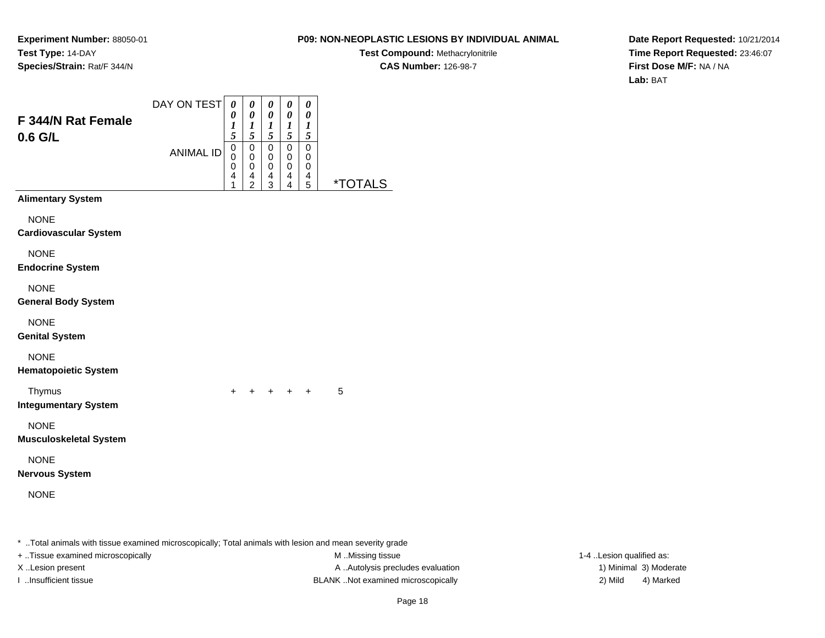# **P09: NON-NEOPLASTIC LESIONS BY INDIVIDUAL ANIMAL**

**Test Compound:** Methacrylonitrile**CAS Number:** 126-98-7

**Date Report Requested:** 10/21/2014**Time Report Requested:** 23:46:07**First Dose M/F:** NA / NA**Lab:** BAT

| F 344/N Rat Female<br>0.6 G/L                | DAY ON TEST      | $\boldsymbol{\theta}$<br>0<br>1<br>5                   | $\pmb{\theta}$<br>$\pmb{\theta}$<br>$\boldsymbol{l}$<br>5    | $\boldsymbol{\theta}$<br>$\pmb{\theta}$<br>$\boldsymbol{l}$<br>$\mathfrak{s}$ | 0<br>$\pmb{\theta}$<br>$\boldsymbol{l}$<br>5 | 0<br>0<br>$\boldsymbol{l}$<br>5 |                       |
|----------------------------------------------|------------------|--------------------------------------------------------|--------------------------------------------------------------|-------------------------------------------------------------------------------|----------------------------------------------|---------------------------------|-----------------------|
|                                              | <b>ANIMAL ID</b> | $\mathbf 0$<br>$\mathbf 0$<br>0<br>$\overline{4}$<br>1 | $\mathbf 0$<br>$\pmb{0}$<br>$\pmb{0}$<br>4<br>$\overline{2}$ | 0<br>$\mathbf 0$<br>$\mathbf 0$<br>4<br>3                                     | $\mathbf 0$<br>$\mathbf 0$<br>0<br>4<br>4    | 0<br>0<br>0<br>4<br>5           | <i><b>*TOTALS</b></i> |
| <b>Alimentary System</b>                     |                  |                                                        |                                                              |                                                                               |                                              |                                 |                       |
| <b>NONE</b><br><b>Cardiovascular System</b>  |                  |                                                        |                                                              |                                                                               |                                              |                                 |                       |
| <b>NONE</b><br><b>Endocrine System</b>       |                  |                                                        |                                                              |                                                                               |                                              |                                 |                       |
| <b>NONE</b><br><b>General Body System</b>    |                  |                                                        |                                                              |                                                                               |                                              |                                 |                       |
| <b>NONE</b><br><b>Genital System</b>         |                  |                                                        |                                                              |                                                                               |                                              |                                 |                       |
| <b>NONE</b><br><b>Hematopoietic System</b>   |                  |                                                        |                                                              |                                                                               |                                              |                                 |                       |
| Thymus<br><b>Integumentary System</b>        |                  | $\ddot{}$                                              |                                                              |                                                                               | + + + +                                      |                                 | 5                     |
| <b>NONE</b><br><b>Musculoskeletal System</b> |                  |                                                        |                                                              |                                                                               |                                              |                                 |                       |
| <b>NONE</b><br><b>Nervous System</b>         |                  |                                                        |                                                              |                                                                               |                                              |                                 |                       |
| <b>NONE</b>                                  |                  |                                                        |                                                              |                                                                               |                                              |                                 |                       |
|                                              |                  |                                                        |                                                              |                                                                               |                                              |                                 |                       |

\* ..Total animals with tissue examined microscopically; Total animals with lesion and mean severity grade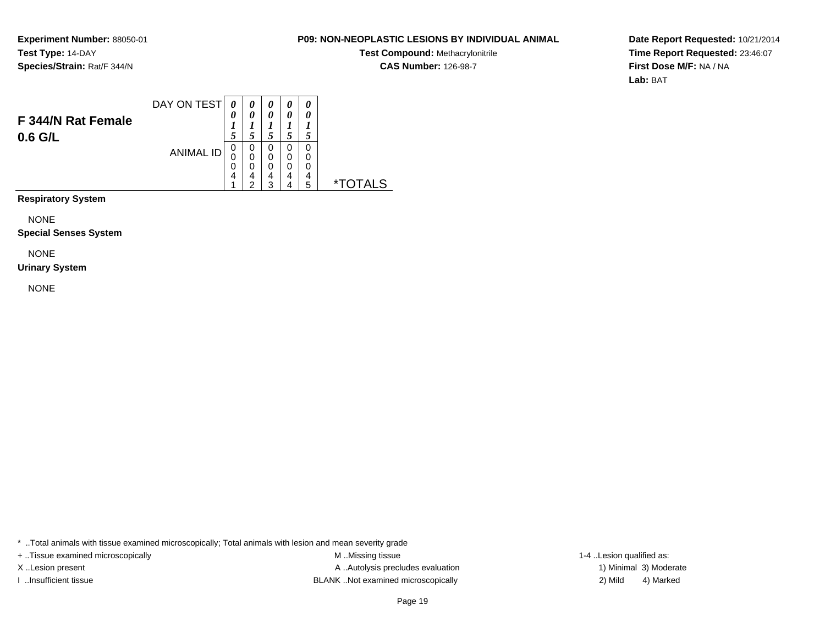### **P09: NON-NEOPLASTIC LESIONS BY INDIVIDUAL ANIMAL**

**Test Compound:** Methacrylonitrile**CAS Number:** 126-98-7

**Date Report Requested:** 10/21/2014**Time Report Requested:** 23:46:07**First Dose M/F:** NA / NA**Lab:** BAT

|                    | DAY ON TEST      | 0      |        | 0      | 0      | 0      |    |
|--------------------|------------------|--------|--------|--------|--------|--------|----|
| F 344/N Rat Female |                  | 0      |        | 0      | 0      | 0      |    |
| $0.6$ G/L          | <b>ANIMAL ID</b> |        |        |        | Ć      |        |    |
|                    |                  | U<br>0 | 0<br>0 | O<br>0 | 0<br>0 | 0<br>0 |    |
|                    |                  | U      |        | 0      | 0      | 0      |    |
|                    |                  | 4      | 4<br>ົ | 4<br>ົ | 4      | 4      | ∗⊤ |
|                    |                  |        |        |        | 4      | 5      |    |

**Respiratory System**

NONE

**Special Senses System**

NONE

#### **Urinary System**

NONE

\* ..Total animals with tissue examined microscopically; Total animals with lesion and mean severity grade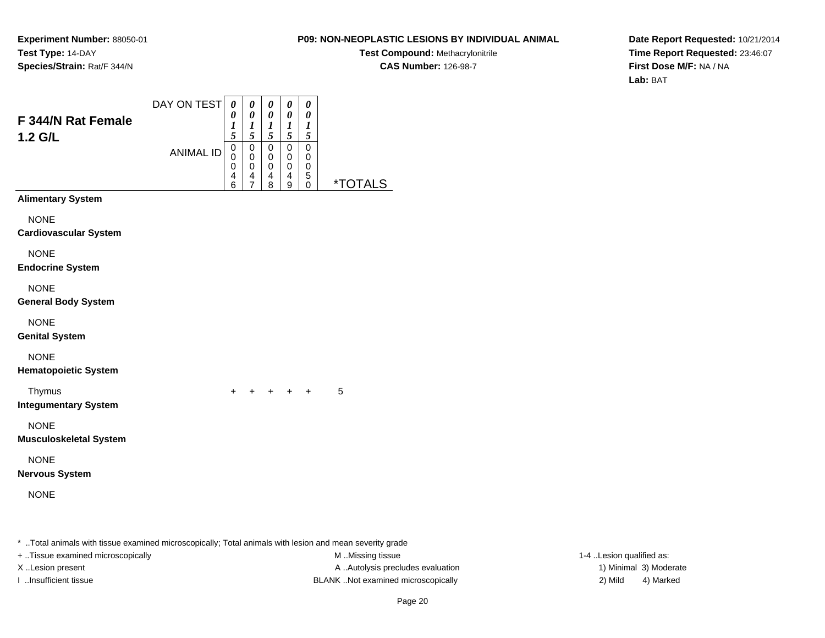# **P09: NON-NEOPLASTIC LESIONS BY INDIVIDUAL ANIMAL**

**Test Compound:** Methacrylonitrile**CAS Number:** 126-98-7

**Date Report Requested:** 10/21/2014**Time Report Requested:** 23:46:07**First Dose M/F:** NA / NA**Lab:** BAT

| F 344/N Rat Female<br>1.2 G/L                | DAY ON TEST<br><b>ANIMAL ID</b> | $\boldsymbol{\theta}$<br>$\pmb{\theta}$<br>$\boldsymbol{l}$<br>5<br>$\mathsf 0$<br>0<br>$\mathsf 0$<br>4<br>6 | $\boldsymbol{\theta}$<br>$\pmb{\theta}$<br>$\boldsymbol{l}$<br>5<br>0<br>0<br>$\mathbf 0$<br>4<br>$\overline{7}$ | 0<br>$\boldsymbol{\theta}$<br>$\boldsymbol{l}$<br>$\sqrt{5}$<br>$\mathbf 0$<br>0<br>$\pmb{0}$<br>4 | 0<br>$\pmb{\theta}$<br>$\boldsymbol{l}$<br>$\sqrt{5}$<br>$\mathbf 0$<br>$\mathbf 0$<br>$\mathbf 0$<br>4 | 0<br>$\boldsymbol{\theta}$<br>$\boldsymbol{l}$<br>$\mathfrak{s}$<br>$\mathbf 0$<br>$\mathbf 0$<br>$\mathbf 0$<br>5<br>$\mathbf 0$ | <i><b>*TOTALS</b></i> |
|----------------------------------------------|---------------------------------|---------------------------------------------------------------------------------------------------------------|------------------------------------------------------------------------------------------------------------------|----------------------------------------------------------------------------------------------------|---------------------------------------------------------------------------------------------------------|-----------------------------------------------------------------------------------------------------------------------------------|-----------------------|
| <b>Alimentary System</b>                     |                                 |                                                                                                               |                                                                                                                  | 8                                                                                                  | 9                                                                                                       |                                                                                                                                   |                       |
| <b>NONE</b><br><b>Cardiovascular System</b>  |                                 |                                                                                                               |                                                                                                                  |                                                                                                    |                                                                                                         |                                                                                                                                   |                       |
| <b>NONE</b><br><b>Endocrine System</b>       |                                 |                                                                                                               |                                                                                                                  |                                                                                                    |                                                                                                         |                                                                                                                                   |                       |
| <b>NONE</b><br><b>General Body System</b>    |                                 |                                                                                                               |                                                                                                                  |                                                                                                    |                                                                                                         |                                                                                                                                   |                       |
| <b>NONE</b><br><b>Genital System</b>         |                                 |                                                                                                               |                                                                                                                  |                                                                                                    |                                                                                                         |                                                                                                                                   |                       |
| <b>NONE</b><br><b>Hematopoietic System</b>   |                                 |                                                                                                               |                                                                                                                  |                                                                                                    |                                                                                                         |                                                                                                                                   |                       |
| Thymus<br><b>Integumentary System</b>        |                                 |                                                                                                               |                                                                                                                  |                                                                                                    | + + + + +                                                                                               |                                                                                                                                   | 5                     |
| <b>NONE</b><br><b>Musculoskeletal System</b> |                                 |                                                                                                               |                                                                                                                  |                                                                                                    |                                                                                                         |                                                                                                                                   |                       |
| <b>NONE</b><br><b>Nervous System</b>         |                                 |                                                                                                               |                                                                                                                  |                                                                                                    |                                                                                                         |                                                                                                                                   |                       |
| <b>NONE</b>                                  |                                 |                                                                                                               |                                                                                                                  |                                                                                                    |                                                                                                         |                                                                                                                                   |                       |
|                                              |                                 |                                                                                                               |                                                                                                                  |                                                                                                    |                                                                                                         |                                                                                                                                   |                       |

\* ..Total animals with tissue examined microscopically; Total animals with lesion and mean severity grade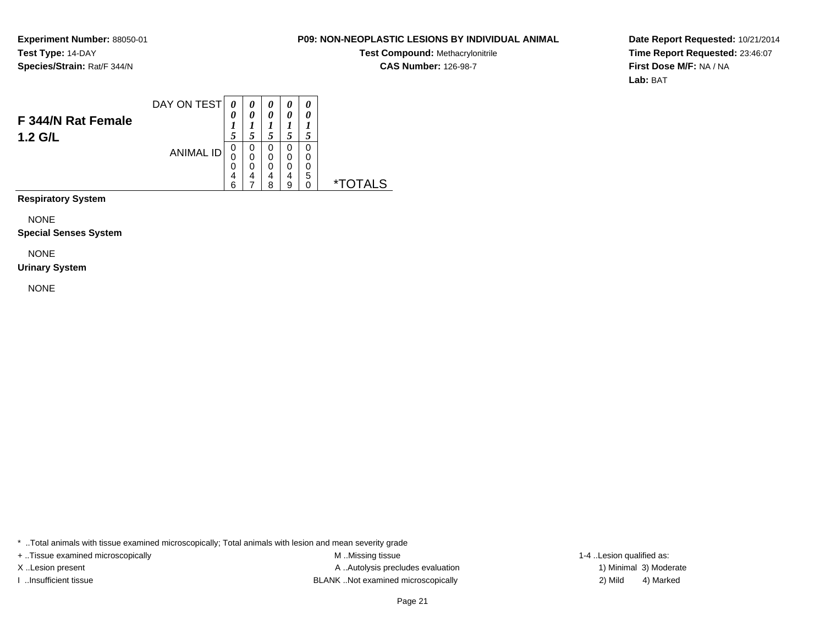# **P09: NON-NEOPLASTIC LESIONS BY INDIVIDUAL ANIMAL**

**Test Compound:** Methacrylonitrile**CAS Number:** 126-98-7

**Date Report Requested:** 10/21/2014**Time Report Requested:** 23:46:07**First Dose M/F:** NA / NA**Lab:** BAT

|                    | DAY ON TEST      | $\boldsymbol{\theta}$ |        | 0      | 0           | 0      |         |
|--------------------|------------------|-----------------------|--------|--------|-------------|--------|---------|
| F 344/N Rat Female |                  | 0                     | 0      | 0      | 0           | 0      |         |
| 1.2 G/L            | <b>ANIMAL ID</b> | U<br>U                | 0<br>0 | O<br>0 | 5<br>0<br>0 | 0<br>0 |         |
|                    |                  | U<br>4                | 4      | 0<br>4 | 0<br>4      | 0<br>5 |         |
|                    |                  | 6                     |        | 8      | 9           | 0      | $\star$ |

**Respiratory System**

NONE

**Special Senses System**

NONE

#### **Urinary System**

NONE

\* ..Total animals with tissue examined microscopically; Total animals with lesion and mean severity grade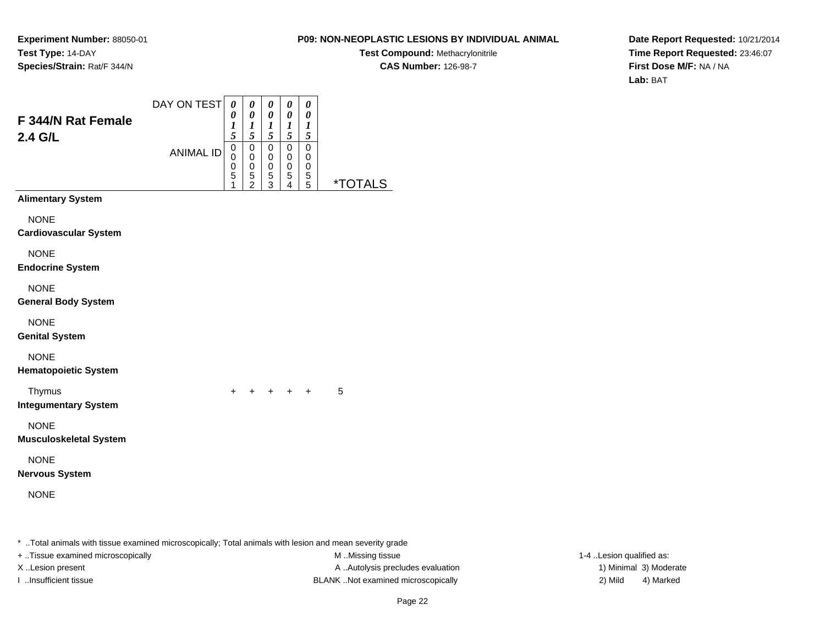# **P09: NON-NEOPLASTIC LESIONS BY INDIVIDUAL ANIMAL**

**Test Compound:** Methacrylonitrile**CAS Number:** 126-98-7

**Date Report Requested:** 10/21/2014**Time Report Requested:** 23:46:07**First Dose M/F:** NA / NA**Lab:** BAT

| F 344/N Rat Female<br>2.4 G/L                | DAY ON TEST      | $\boldsymbol{\theta}$<br>0<br>1<br>5 | $\pmb{\theta}$<br>$\boldsymbol{\theta}$<br>$\boldsymbol{l}$<br>5 | 0<br>$\boldsymbol{\theta}$<br>$\boldsymbol{l}$<br>$\sqrt{5}$ | 0<br>$\boldsymbol{\theta}$<br>1<br>5         | 0<br>0<br>1<br>$\sqrt{5}$     |         |
|----------------------------------------------|------------------|--------------------------------------|------------------------------------------------------------------|--------------------------------------------------------------|----------------------------------------------|-------------------------------|---------|
|                                              | <b>ANIMAL ID</b> | 0<br>0<br>0<br>5<br>1                | $\mathsf 0$<br>$\pmb{0}$<br>$\mathbf 0$<br>$\frac{5}{2}$         | $\pmb{0}$<br>$\pmb{0}$<br>$\pmb{0}$<br>$\sqrt{5}$<br>3       | $\mathbf 0$<br>0<br>0<br>5<br>$\overline{4}$ | $\pmb{0}$<br>0<br>0<br>5<br>5 | *TOTALS |
| <b>Alimentary System</b>                     |                  |                                      |                                                                  |                                                              |                                              |                               |         |
| <b>NONE</b><br><b>Cardiovascular System</b>  |                  |                                      |                                                                  |                                                              |                                              |                               |         |
| <b>NONE</b><br><b>Endocrine System</b>       |                  |                                      |                                                                  |                                                              |                                              |                               |         |
| <b>NONE</b><br><b>General Body System</b>    |                  |                                      |                                                                  |                                                              |                                              |                               |         |
| <b>NONE</b><br><b>Genital System</b>         |                  |                                      |                                                                  |                                                              |                                              |                               |         |
| <b>NONE</b><br><b>Hematopoietic System</b>   |                  |                                      |                                                                  |                                                              |                                              |                               |         |
| Thymus<br><b>Integumentary System</b>        |                  | $\ddot{}$                            |                                                                  |                                                              | $+$ $+$ $+$                                  | $\ddot{}$                     | 5       |
| <b>NONE</b><br><b>Musculoskeletal System</b> |                  |                                      |                                                                  |                                                              |                                              |                               |         |
| <b>NONE</b><br><b>Nervous System</b>         |                  |                                      |                                                                  |                                                              |                                              |                               |         |
| <b>NONE</b>                                  |                  |                                      |                                                                  |                                                              |                                              |                               |         |
|                                              |                  |                                      |                                                                  |                                                              |                                              |                               |         |

\* ..Total animals with tissue examined microscopically; Total animals with lesion and mean severity grade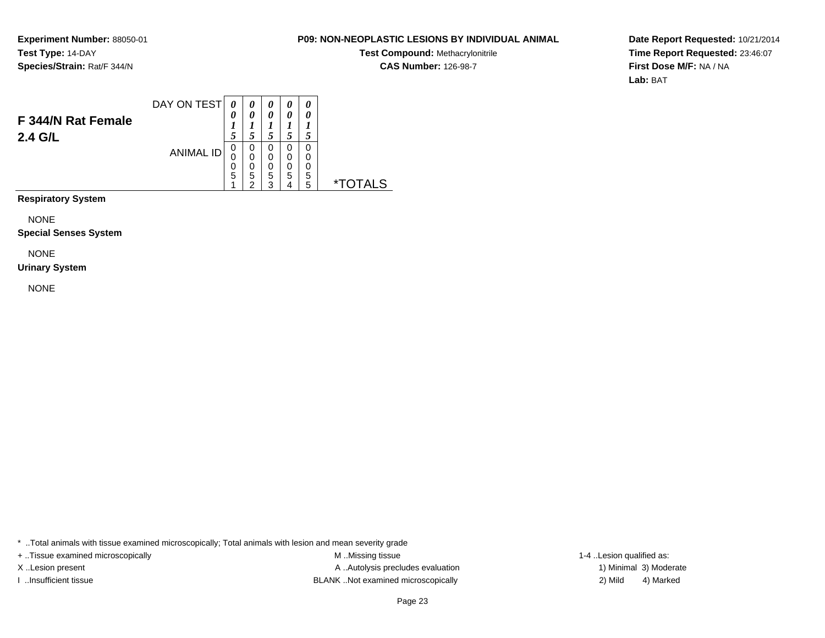# **P09: NON-NEOPLASTIC LESIONS BY INDIVIDUAL ANIMAL**

**Test Compound:** Methacrylonitrile**CAS Number:** 126-98-7

**Date Report Requested:** 10/21/2014**Time Report Requested:** 23:46:07**First Dose M/F:** NA / NA**Lab:** BAT

|                               | DAY ON TEST      | 0           |             | 0           | 0           | 0           |    |
|-------------------------------|------------------|-------------|-------------|-------------|-------------|-------------|----|
| F 344/N Rat Female<br>2.4 G/L |                  | 0           |             | 0<br>C      | 0<br>5      | 0           |    |
|                               | <b>ANIMAL ID</b> | 0<br>0<br>0 | 0<br>0<br>O | 0<br>0<br>0 | 0<br>0<br>0 | 0<br>0<br>0 |    |
|                               |                  | 5           | 5<br>$\sim$ | 5<br>ົ      | 5<br>4      | 5<br>5      | *" |

**Respiratory System**

NONE

**Special Senses System**

NONE

#### **Urinary System**

NONE

\* ..Total animals with tissue examined microscopically; Total animals with lesion and mean severity grade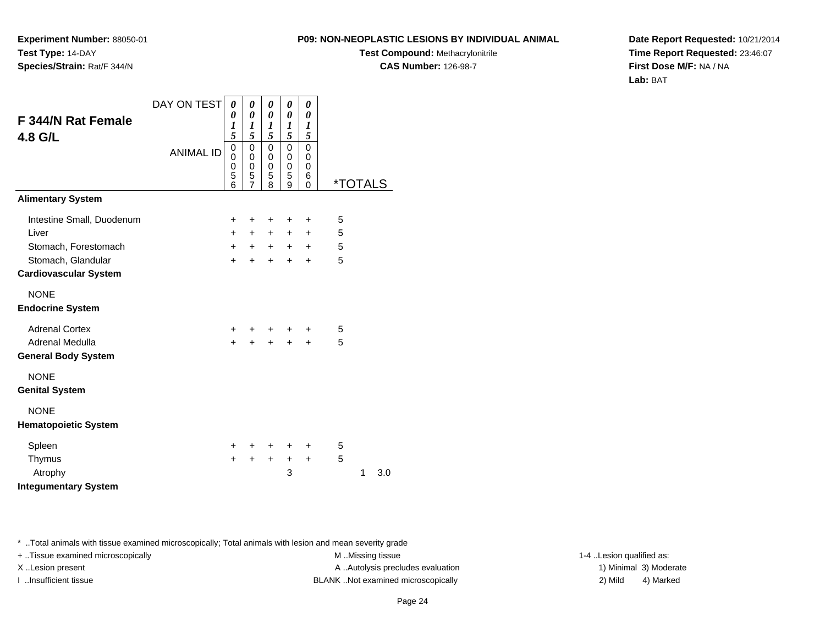**Experiment Number:** 88050-01**Test Type:** 14-DAY**Species/Strain:** Rat/F 344/N

**Test Compound:** Methacrylonitrile**CAS Number:** 126-98-7

**Date Report Requested:** 10/21/2014**Time Report Requested:** 23:46:07**First Dose M/F:** NA / NA**Lab:** BAT

|                              | DAY ON TEST      | 0           | $\boldsymbol{\theta}$                  | 0                                       |                                           |                                     |                       |   |     |
|------------------------------|------------------|-------------|----------------------------------------|-----------------------------------------|-------------------------------------------|-------------------------------------|-----------------------|---|-----|
| F 344/N Rat Female           |                  | 0<br>1<br>5 | 0<br>1<br>5                            | $\pmb{\theta}$<br>$\boldsymbol{l}$<br>5 | 0<br>1<br>5                               | 0<br>1<br>5                         |                       |   |     |
| 4.8 G/L                      | <b>ANIMAL ID</b> |             | $\mathbf 0$<br>0<br>0<br>$\frac{5}{7}$ | 0<br>0<br>0<br>5<br>8                   | $\mathbf 0$<br>0<br>$\mathbf 0$<br>5<br>9 | $\Omega$<br>0<br>0<br>6<br>$\Omega$ | <i><b>*TOTALS</b></i> |   |     |
| <b>Alimentary System</b>     |                  |             |                                        |                                         |                                           |                                     |                       |   |     |
| Intestine Small, Duodenum    |                  | +           | +                                      | +                                       | $\ddot{}$                                 | $\ddot{}$                           | 5                     |   |     |
| Liver                        |                  | $+$         | $+$                                    | $+$                                     | $+$                                       | $\ddot{}$                           | 5                     |   |     |
| Stomach, Forestomach         |                  | $+$         | $+$                                    | $+$                                     |                                           | $+$ $+$                             | 5                     |   |     |
| Stomach, Glandular           |                  | $+$         | $\ddot{}$                              | $+$                                     | $+$                                       | $\ddot{}$                           | 5                     |   |     |
| <b>Cardiovascular System</b> |                  |             |                                        |                                         |                                           |                                     |                       |   |     |
| <b>NONE</b>                  |                  |             |                                        |                                         |                                           |                                     |                       |   |     |
| <b>Endocrine System</b>      |                  |             |                                        |                                         |                                           |                                     |                       |   |     |
| <b>Adrenal Cortex</b>        |                  | $\pm$       | +                                      | $\ddot{}$                               | $\ddot{}$                                 | $\pm$                               | 5                     |   |     |
| Adrenal Medulla              |                  | $\ddot{}$   |                                        | $+$                                     | $+$                                       | $\ddot{}$                           | 5                     |   |     |
| <b>General Body System</b>   |                  |             |                                        |                                         |                                           |                                     |                       |   |     |
| <b>NONE</b>                  |                  |             |                                        |                                         |                                           |                                     |                       |   |     |
| <b>Genital System</b>        |                  |             |                                        |                                         |                                           |                                     |                       |   |     |
| <b>NONE</b>                  |                  |             |                                        |                                         |                                           |                                     |                       |   |     |
| <b>Hematopoietic System</b>  |                  |             |                                        |                                         |                                           |                                     |                       |   |     |
| Spleen                       |                  | $\pm$       | ÷                                      | $\ddot{}$                               | $\ddot{}$                                 | $\ddot{}$                           | 5                     |   |     |
| Thymus                       |                  | $+$         | $+$                                    | $+$                                     | $\ddot{}$                                 | $\ddot{}$                           | 5                     |   |     |
| Atrophy                      |                  |             |                                        |                                         | 3                                         |                                     |                       | 1 | 3.0 |
| <b>Integumentary System</b>  |                  |             |                                        |                                         |                                           |                                     |                       |   |     |

\* ..Total animals with tissue examined microscopically; Total animals with lesion and mean severity grade